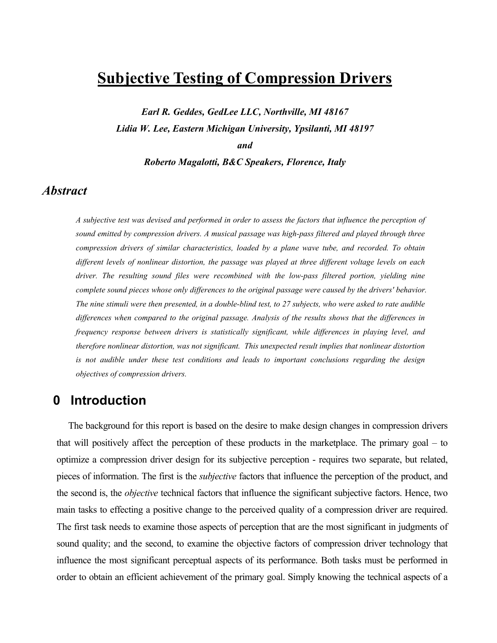# **Subjective Testing of Compression Drivers**

*Earl R. Geddes, GedLee LLC, Northville, MI 48167 Lidia W. Lee, Eastern Michigan University, Ypsilanti, MI 48197* 

*and* 

*Roberto Magalotti, B&C Speakers, Florence, Italy* 

## *Abstract*

*A subjective test was devised and performed in order to assess the factors that influence the perception of sound emitted by compression drivers. A musical passage was high-pass filtered and played through three compression drivers of similar characteristics, loaded by a plane wave tube, and recorded. To obtain different levels of nonlinear distortion, the passage was played at three different voltage levels on each driver. The resulting sound files were recombined with the low-pass filtered portion, yielding nine complete sound pieces whose only differences to the original passage were caused by the drivers' behavior. The nine stimuli were then presented, in a double-blind test, to 27 subjects, who were asked to rate audible differences when compared to the original passage. Analysis of the results shows that the differences in frequency response between drivers is statistically significant, while differences in playing level, and therefore nonlinear distortion, was not significant. This unexpected result implies that nonlinear distortion is not audible under these test conditions and leads to important conclusions regarding the design objectives of compression drivers.* 

# **0 Introduction**

The background for this report is based on the desire to make design changes in compression drivers that will positively affect the perception of these products in the marketplace. The primary goal – to optimize a compression driver design for its subjective perception - requires two separate, but related, pieces of information. The first is the *subjective* factors that influence the perception of the product, and the second is, the *objective* technical factors that influence the significant subjective factors. Hence, two main tasks to effecting a positive change to the perceived quality of a compression driver are required. The first task needs to examine those aspects of perception that are the most significant in judgments of sound quality; and the second, to examine the objective factors of compression driver technology that influence the most significant perceptual aspects of its performance. Both tasks must be performed in order to obtain an efficient achievement of the primary goal. Simply knowing the technical aspects of a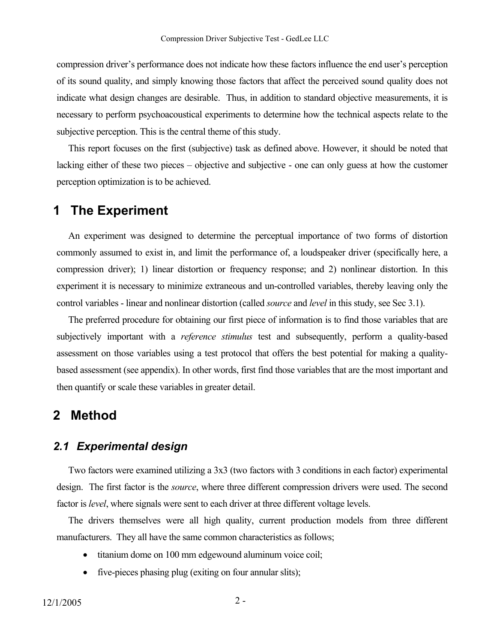compression driver's performance does not indicate how these factors influence the end user's perception of its sound quality, and simply knowing those factors that affect the perceived sound quality does not indicate what design changes are desirable. Thus, in addition to standard objective measurements, it is necessary to perform psychoacoustical experiments to determine how the technical aspects relate to the subjective perception. This is the central theme of this study.

This report focuses on the first (subjective) task as defined above. However, it should be noted that lacking either of these two pieces – objective and subjective - one can only guess at how the customer perception optimization is to be achieved.

### **1 The Experiment**

An experiment was designed to determine the perceptual importance of two forms of distortion commonly assumed to exist in, and limit the performance of, a loudspeaker driver (specifically here, a compression driver); 1) linear distortion or frequency response; and 2) nonlinear distortion. In this experiment it is necessary to minimize extraneous and un-controlled variables, thereby leaving only the control variables - linear and nonlinear distortion (called *source* and *level* in this study, see Sec 3.1).

The preferred procedure for obtaining our first piece of information is to find those variables that are subjectively important with a *reference stimulus* test and subsequently, perform a quality-based assessment on those variables using a test protocol that offers the best potential for making a qualitybased assessment (see appendix). In other words, first find those variables that are the most important and then quantify or scale these variables in greater detail.

### **2 Method**

#### *2.1 Experimental design*

Two factors were examined utilizing a 3x3 (two factors with 3 conditions in each factor) experimental design. The first factor is the *source*, where three different compression drivers were used. The second factor is *level*, where signals were sent to each driver at three different voltage levels.

The drivers themselves were all high quality, current production models from three different manufacturers. They all have the same common characteristics as follows;

- titanium dome on 100 mm edgewound aluminum voice coil;
- five-pieces phasing plug (exiting on four annular slits);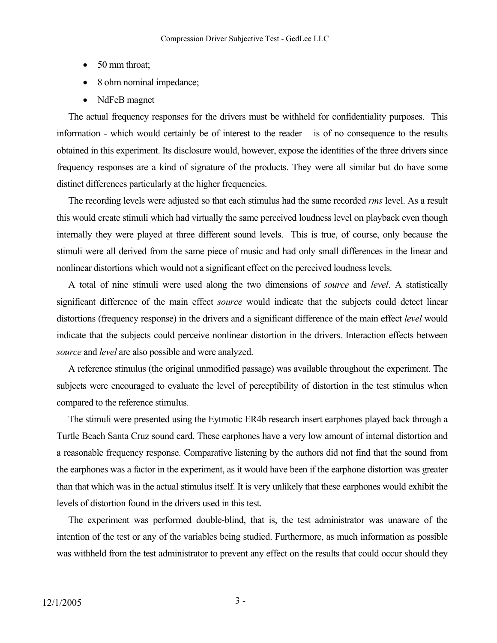- 50 mm throat;
- 8 ohm nominal impedance;
- NdFeB magnet

The actual frequency responses for the drivers must be withheld for confidentiality purposes. This information - which would certainly be of interest to the reader – is of no consequence to the results obtained in this experiment. Its disclosure would, however, expose the identities of the three drivers since frequency responses are a kind of signature of the products. They were all similar but do have some distinct differences particularly at the higher frequencies.

The recording levels were adjusted so that each stimulus had the same recorded *rms* level. As a result this would create stimuli which had virtually the same perceived loudness level on playback even though internally they were played at three different sound levels. This is true, of course, only because the stimuli were all derived from the same piece of music and had only small differences in the linear and nonlinear distortions which would not a significant effect on the perceived loudness levels.

A total of nine stimuli were used along the two dimensions of *source* and *level*. A statistically significant difference of the main effect *source* would indicate that the subjects could detect linear distortions (frequency response) in the drivers and a significant difference of the main effect *level* would indicate that the subjects could perceive nonlinear distortion in the drivers. Interaction effects between *source* and *level* are also possible and were analyzed.

A reference stimulus (the original unmodified passage) was available throughout the experiment. The subjects were encouraged to evaluate the level of perceptibility of distortion in the test stimulus when compared to the reference stimulus.

The stimuli were presented using the Eytmotic ER4b research insert earphones played back through a Turtle Beach Santa Cruz sound card. These earphones have a very low amount of internal distortion and a reasonable frequency response. Comparative listening by the authors did not find that the sound from the earphones was a factor in the experiment, as it would have been if the earphone distortion was greater than that which was in the actual stimulus itself. It is very unlikely that these earphones would exhibit the levels of distortion found in the drivers used in this test.

The experiment was performed double-blind, that is, the test administrator was unaware of the intention of the test or any of the variables being studied. Furthermore, as much information as possible was withheld from the test administrator to prevent any effect on the results that could occur should they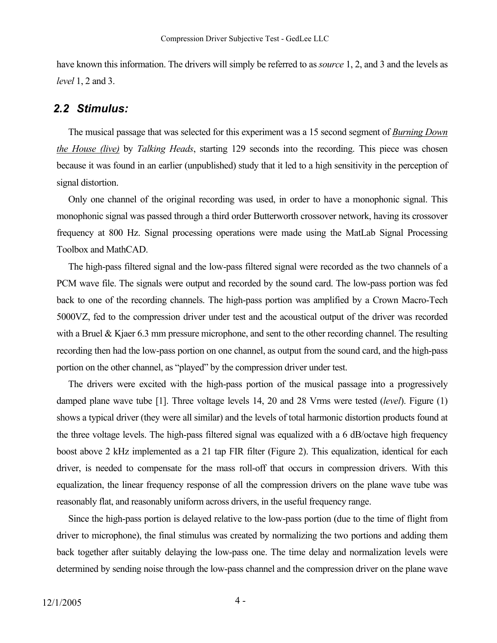have known this information. The drivers will simply be referred to as *source* 1, 2, and 3 and the levels as *level* 1, 2 and 3.

#### *2.2 Stimulus:*

The musical passage that was selected for this experiment was a 15 second segment of *Burning Down the House (live)* by *Talking Heads*, starting 129 seconds into the recording. This piece was chosen because it was found in an earlier (unpublished) study that it led to a high sensitivity in the perception of signal distortion.

Only one channel of the original recording was used, in order to have a monophonic signal. This monophonic signal was passed through a third order Butterworth crossover network, having its crossover frequency at 800 Hz. Signal processing operations were made using the MatLab Signal Processing Toolbox and MathCAD.

The high-pass filtered signal and the low-pass filtered signal were recorded as the two channels of a PCM wave file. The signals were output and recorded by the sound card. The low-pass portion was fed back to one of the recording channels. The high-pass portion was amplified by a Crown Macro-Tech 5000VZ, fed to the compression driver under test and the acoustical output of the driver was recorded with a Bruel & Kjaer 6.3 mm pressure microphone, and sent to the other recording channel. The resulting recording then had the low-pass portion on one channel, as output from the sound card, and the high-pass portion on the other channel, as "played" by the compression driver under test.

The drivers were excited with the high-pass portion of the musical passage into a progressively damped plane wave tube [1]. Three voltage levels 14, 20 and 28 Vrms were tested (*level*). Figure (1) shows a typical driver (they were all similar) and the levels of total harmonic distortion products found at the three voltage levels. The high-pass filtered signal was equalized with a 6 dB/octave high frequency boost above 2 kHz implemented as a 21 tap FIR filter (Figure 2). This equalization, identical for each driver, is needed to compensate for the mass roll-off that occurs in compression drivers. With this equalization, the linear frequency response of all the compression drivers on the plane wave tube was reasonably flat, and reasonably uniform across drivers, in the useful frequency range.

Since the high-pass portion is delayed relative to the low-pass portion (due to the time of flight from driver to microphone), the final stimulus was created by normalizing the two portions and adding them back together after suitably delaying the low-pass one. The time delay and normalization levels were determined by sending noise through the low-pass channel and the compression driver on the plane wave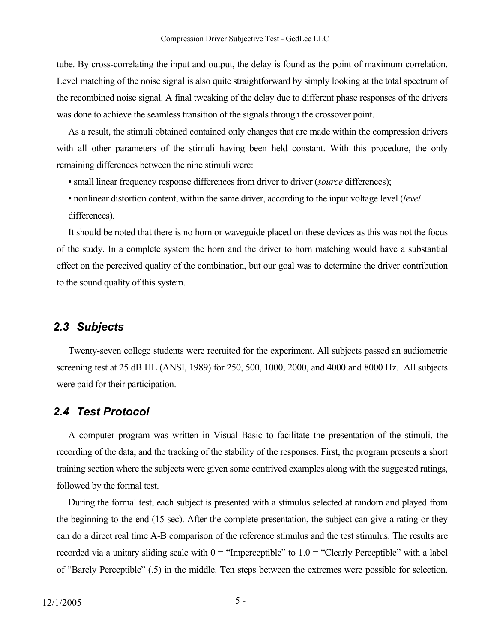tube. By cross-correlating the input and output, the delay is found as the point of maximum correlation. Level matching of the noise signal is also quite straightforward by simply looking at the total spectrum of the recombined noise signal. A final tweaking of the delay due to different phase responses of the drivers was done to achieve the seamless transition of the signals through the crossover point.

As a result, the stimuli obtained contained only changes that are made within the compression drivers with all other parameters of the stimuli having been held constant. With this procedure, the only remaining differences between the nine stimuli were:

- small linear frequency response differences from driver to driver (*source* differences);
- nonlinear distortion content, within the same driver, according to the input voltage level (*level* differences).

It should be noted that there is no horn or waveguide placed on these devices as this was not the focus of the study. In a complete system the horn and the driver to horn matching would have a substantial effect on the perceived quality of the combination, but our goal was to determine the driver contribution to the sound quality of this system.

#### *2.3 Subjects*

Twenty-seven college students were recruited for the experiment. All subjects passed an audiometric screening test at 25 dB HL (ANSI, 1989) for 250, 500, 1000, 2000, and 4000 and 8000 Hz. All subjects were paid for their participation.

#### *2.4 Test Protocol*

A computer program was written in Visual Basic to facilitate the presentation of the stimuli, the recording of the data, and the tracking of the stability of the responses. First, the program presents a short training section where the subjects were given some contrived examples along with the suggested ratings, followed by the formal test.

During the formal test, each subject is presented with a stimulus selected at random and played from the beginning to the end (15 sec). After the complete presentation, the subject can give a rating or they can do a direct real time A-B comparison of the reference stimulus and the test stimulus. The results are recorded via a unitary sliding scale with  $0 =$  "Imperceptible" to  $1.0 =$  "Clearly Perceptible" with a label of "Barely Perceptible" (.5) in the middle. Ten steps between the extremes were possible for selection.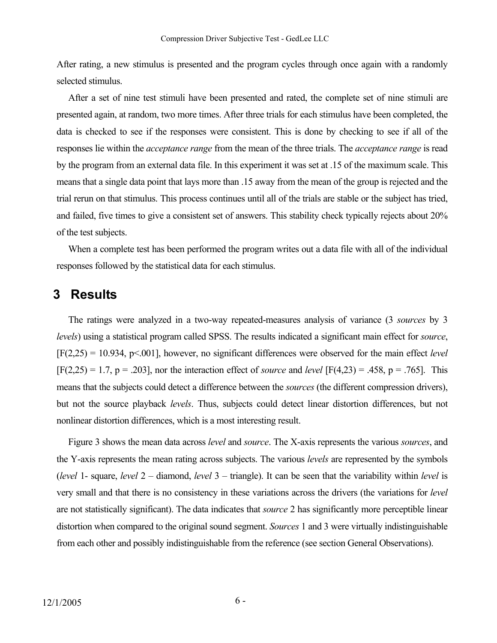After rating, a new stimulus is presented and the program cycles through once again with a randomly selected stimulus.

After a set of nine test stimuli have been presented and rated, the complete set of nine stimuli are presented again, at random, two more times. After three trials for each stimulus have been completed, the data is checked to see if the responses were consistent. This is done by checking to see if all of the responses lie within the *acceptance range* from the mean of the three trials. The *acceptance range* is read by the program from an external data file. In this experiment it was set at .15 of the maximum scale. This means that a single data point that lays more than .15 away from the mean of the group is rejected and the trial rerun on that stimulus. This process continues until all of the trials are stable or the subject has tried, and failed, five times to give a consistent set of answers. This stability check typically rejects about 20% of the test subjects.

When a complete test has been performed the program writes out a data file with all of the individual responses followed by the statistical data for each stimulus.

### **3 Results**

The ratings were analyzed in a two-way repeated-measures analysis of variance (3 *sources* by 3 *levels*) using a statistical program called SPSS. The results indicated a significant main effect for *source*, [F(2,25) = 10.934, p<.001], however, no significant differences were observed for the main effect *level*  $[F(2,25) = 1.7, p = .203]$ , nor the interaction effect of *source* and *level*  $[F(4,23) = .458, p = .765]$ . This means that the subjects could detect a difference between the *sources* (the different compression drivers), but not the source playback *levels*. Thus, subjects could detect linear distortion differences, but not nonlinear distortion differences, which is a most interesting result.

Figure 3 shows the mean data across *level* and *source*. The X-axis represents the various *sources*, and the Y-axis represents the mean rating across subjects. The various *levels* are represented by the symbols (*level* 1- square, *level* 2 – diamond, *level* 3 – triangle). It can be seen that the variability within *level* is very small and that there is no consistency in these variations across the drivers (the variations for *level* are not statistically significant). The data indicates that *source* 2 has significantly more perceptible linear distortion when compared to the original sound segment. *Sources* 1 and 3 were virtually indistinguishable from each other and possibly indistinguishable from the reference (see section General Observations).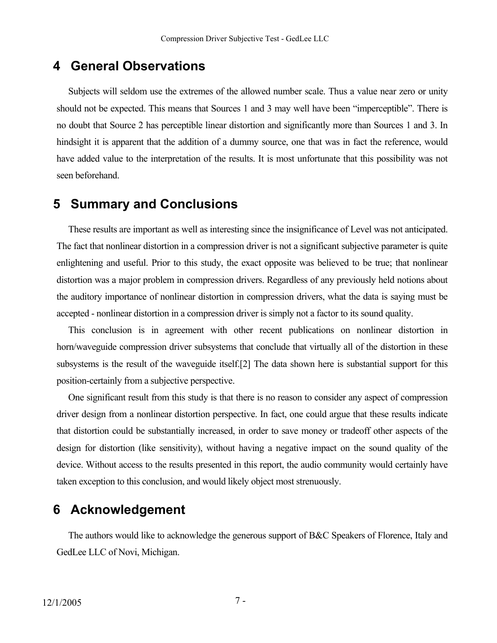## **4 General Observations**

Subjects will seldom use the extremes of the allowed number scale. Thus a value near zero or unity should not be expected. This means that Sources 1 and 3 may well have been "imperceptible". There is no doubt that Source 2 has perceptible linear distortion and significantly more than Sources 1 and 3. In hindsight it is apparent that the addition of a dummy source, one that was in fact the reference, would have added value to the interpretation of the results. It is most unfortunate that this possibility was not seen beforehand.

### **5 Summary and Conclusions**

These results are important as well as interesting since the insignificance of Level was not anticipated. The fact that nonlinear distortion in a compression driver is not a significant subjective parameter is quite enlightening and useful. Prior to this study, the exact opposite was believed to be true; that nonlinear distortion was a major problem in compression drivers. Regardless of any previously held notions about the auditory importance of nonlinear distortion in compression drivers, what the data is saying must be accepted - nonlinear distortion in a compression driver is simply not a factor to its sound quality.

This conclusion is in agreement with other recent publications on nonlinear distortion in horn/waveguide compression driver subsystems that conclude that virtually all of the distortion in these subsystems is the result of the waveguide itself.[2] The data shown here is substantial support for this position-certainly from a subjective perspective.

One significant result from this study is that there is no reason to consider any aspect of compression driver design from a nonlinear distortion perspective. In fact, one could argue that these results indicate that distortion could be substantially increased, in order to save money or tradeoff other aspects of the design for distortion (like sensitivity), without having a negative impact on the sound quality of the device. Without access to the results presented in this report, the audio community would certainly have taken exception to this conclusion, and would likely object most strenuously.

## **6 Acknowledgement**

The authors would like to acknowledge the generous support of B&C Speakers of Florence, Italy and GedLee LLC of Novi, Michigan.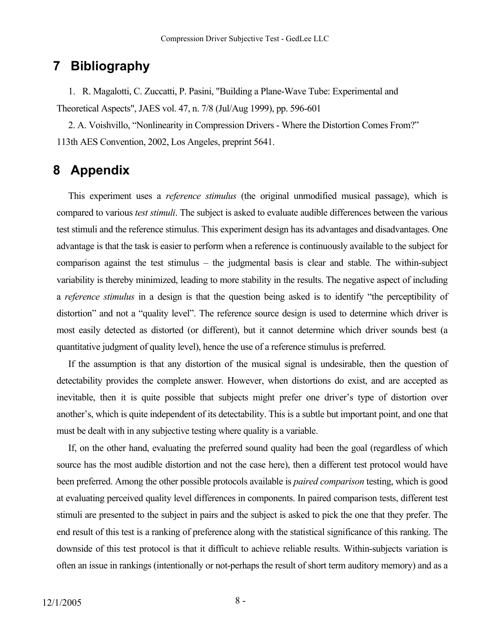## **7 Bibliography**

1. R. Magalotti, C. Zuccatti, P. Pasini, "Building a Plane-Wave Tube: Experimental and Theoretical Aspects", JAES vol. 47, n. 7/8 (Jul/Aug 1999), pp. 596-601

2. A. Voishvillo, "Nonlinearity in Compression Drivers - Where the Distortion Comes From?" 113th AES Convention, 2002, Los Angeles, preprint 5641.

### **8 Appendix**

This experiment uses a *reference stimulus* (the original unmodified musical passage), which is compared to various *test stimuli*. The subject is asked to evaluate audible differences between the various test stimuli and the reference stimulus. This experiment design has its advantages and disadvantages. One advantage is that the task is easier to perform when a reference is continuously available to the subject for comparison against the test stimulus – the judgmental basis is clear and stable. The within-subject variability is thereby minimized, leading to more stability in the results. The negative aspect of including a *reference stimulus* in a design is that the question being asked is to identify "the perceptibility of distortion" and not a "quality level". The reference source design is used to determine which driver is most easily detected as distorted (or different), but it cannot determine which driver sounds best (a quantitative judgment of quality level), hence the use of a reference stimulus is preferred.

If the assumption is that any distortion of the musical signal is undesirable, then the question of detectability provides the complete answer. However, when distortions do exist, and are accepted as inevitable, then it is quite possible that subjects might prefer one driver's type of distortion over another's, which is quite independent of its detectability. This is a subtle but important point, and one that must be dealt with in any subjective testing where quality is a variable.

If, on the other hand, evaluating the preferred sound quality had been the goal (regardless of which source has the most audible distortion and not the case here), then a different test protocol would have been preferred. Among the other possible protocols available is *paired comparison* testing, which is good at evaluating perceived quality level differences in components. In paired comparison tests, different test stimuli are presented to the subject in pairs and the subject is asked to pick the one that they prefer. The end result of this test is a ranking of preference along with the statistical significance of this ranking. The downside of this test protocol is that it difficult to achieve reliable results. Within-subjects variation is often an issue in rankings (intentionally or not-perhaps the result of short term auditory memory) and as a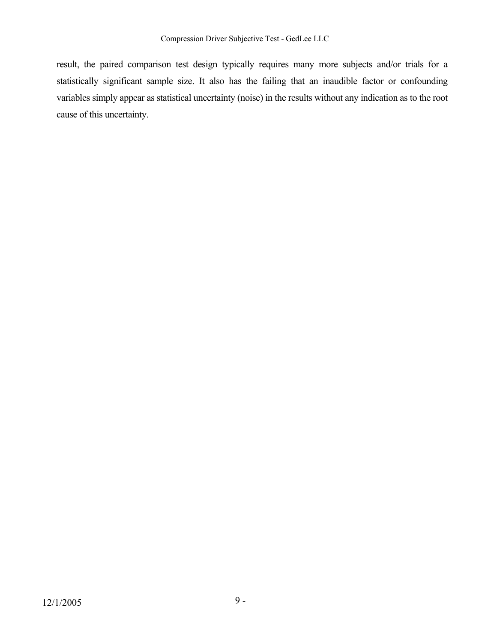result, the paired comparison test design typically requires many more subjects and/or trials for a statistically significant sample size. It also has the failing that an inaudible factor or confounding variables simply appear as statistical uncertainty (noise) in the results without any indication as to the root cause of this uncertainty.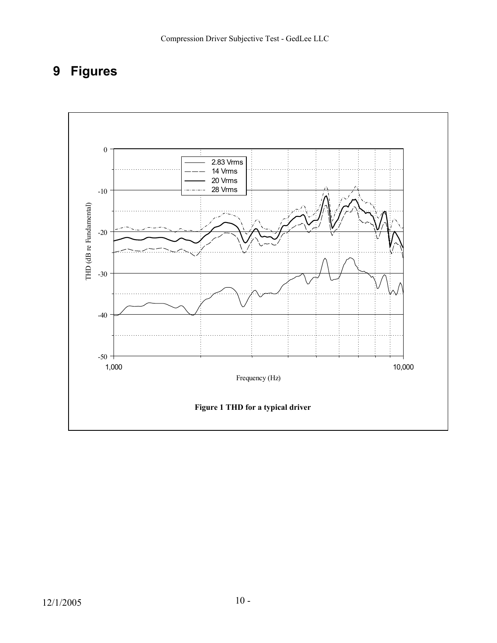# **9 Figures**

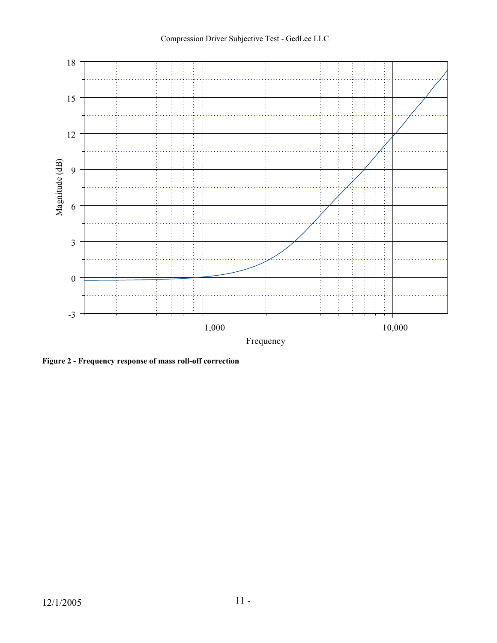

**Figure 2 - Frequency response of mass roll-off correction**